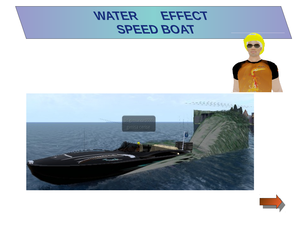



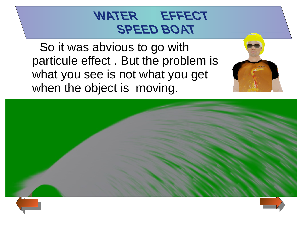So it was abvious to go with particule effect . But the problem is what you see is not what you get when the object is moving.



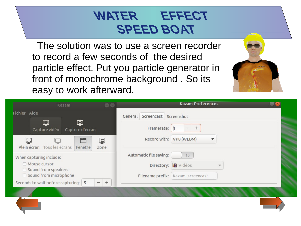The solution was to use a screen recorder to record a few seconds of the desired particle effect. Put you particle generator in front of monochrome background . So its easy to work afterward.

| Kazam<br>$\left( -\right)$ $\left( \times\right)$                        | <b>Kazam Preferences</b>             |  |
|--------------------------------------------------------------------------|--------------------------------------|--|
| Fichier Aide                                                             | General Screencast Screenshot        |  |
| Ф<br>⊟<br>Capture vidéo<br>Capture d'écran                               | Framerate:<br>÷.<br>$\frac{1}{2}$    |  |
| ہا<br>Plein écran Tous les écrans<br>Fenêtre<br>Zone                     | VP8 (WEBM)<br>Record with:<br>▼      |  |
| When capturing include:                                                  | Automatic file saving:<br>$\bigcirc$ |  |
| Mouse cursor<br>□ Sound from speakers                                    | Directory: <b>I Vidéos</b>           |  |
| □ Sound from microphone                                                  | Filename prefix:<br>Kazam_screencast |  |
| Seconds to wait before capturing: 5<br>$\pm$<br>$\overline{\phantom{a}}$ |                                      |  |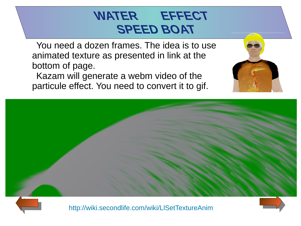You need a dozen frames. The idea is to use animated texture as presented in link at the bottom of page.

Kazam will generate a webm video of the particule effect. You need to convert it to gif.





<http://wiki.secondlife.com/wiki/LlSetTextureAnim>

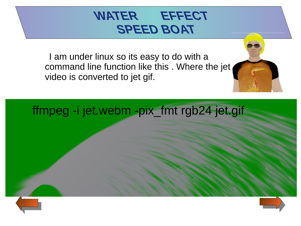I am under linux so its easy to do with a command line function like this . Where the jet video is converted to jet gif.

ffmpeg -i jet.webm -pix\_fmt rgb24 jet.gif

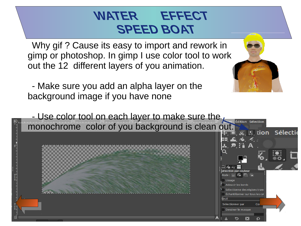Why gif ? Cause its easy to import and rework in gimp or photoshop. In gimp I use color tool to work out the 12 different layers of you animation.

- Make sure you add an alpha layer on the background image if you have none

- Use color tool on each layer to make sure the monochrome color of you background is clean out. While the sélection

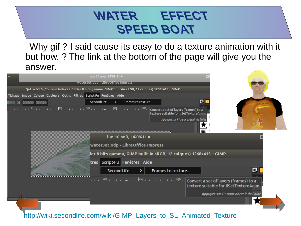Why gif ? I said cause its easy to do a texture animation with it but how. ? The link at the bottom of the page will give you the answer.

|                                                                                                    |                                                                       | lun 10 aoû, 14:08:11 ·             |                                                                   |                                                                                 |                                                                                 |                                       |  |  |  |
|----------------------------------------------------------------------------------------------------|-----------------------------------------------------------------------|------------------------------------|-------------------------------------------------------------------|---------------------------------------------------------------------------------|---------------------------------------------------------------------------------|---------------------------------------|--|--|--|
|                                                                                                    | waterJet.odp - LibreOffice Impress                                    |                                    |                                                                   |                                                                                 |                                                                                 |                                       |  |  |  |
| *jet.xcf-1.0 (Couleur indexée Entier 8 bits gamma, GIMP built-in sRGB, 12 calques) 1268x415 - GIMP |                                                                       |                                    |                                                                   |                                                                                 |                                                                                 |                                       |  |  |  |
|                                                                                                    | ffichage Image Calque Couleurs Outils Filtres Script-Fu Fenêtres Aide |                                    |                                                                   |                                                                                 |                                                                                 |                                       |  |  |  |
| 図                                                                                                  | 2009251 59303-9                                                       | SecondLife                         | Frames to texture                                                 |                                                                                 | 笔                                                                               |                                       |  |  |  |
|                                                                                                    |                                                                       | waterJet.odp - LibreOffice Impress | lun 10 aoû, 14:08:11 ·                                            | texture suitable for llSetTextureAnim.<br>Appuyez sur F1 pour obtenir de l'aide |                                                                                 |                                       |  |  |  |
|                                                                                                    |                                                                       |                                    |                                                                   |                                                                                 |                                                                                 |                                       |  |  |  |
|                                                                                                    |                                                                       |                                    | ier 8 bits gamma, GIMP built-in sRGB, 12 calques) 1268x415 – GIMP |                                                                                 |                                                                                 |                                       |  |  |  |
|                                                                                                    |                                                                       | tres Script-Fu Fenêtres Aide       |                                                                   |                                                                                 |                                                                                 |                                       |  |  |  |
|                                                                                                    |                                                                       | SecondLife                         |                                                                   | Frames to texture                                                               |                                                                                 | X.                                    |  |  |  |
|                                                                                                    |                                                                       |                                    |                                                                   |                                                                                 | Convert a set of layers (frames) to a<br>texture suitable for llSetTextureAnim. |                                       |  |  |  |
|                                                                                                    |                                                                       |                                    |                                                                   |                                                                                 |                                                                                 | Appuyez sur F1 pour obtenir de l'aide |  |  |  |
|                                                                                                    | http://wiki.secondlife.com/wiki/GIMP Layers to SL Animated Texture    |                                    |                                                                   |                                                                                 |                                                                                 |                                       |  |  |  |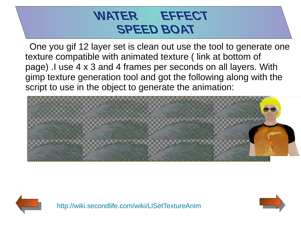One you gif 12 layer set is clean out use the tool to generate one texture compatible with animated texture ( link at bottom of page) .I use 4 x 3 and 4 frames per seconds on all layers. With gimp texture generation tool and got the following along with the script to use in the object to generate the animation:





<http://wiki.secondlife.com/wiki/LlSetTextureAnim>

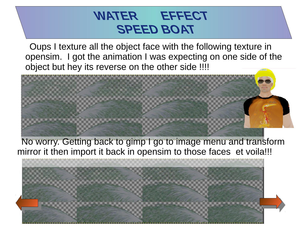Oups I texture all the object face with the following texture in opensim. I got the animation I was expecting on one side of the object but hey its reverse on the other side !!!!



No worry. Getting back to gimp I go to image menu and transform mirror it then import it back in opensim to those faces et voila!!!